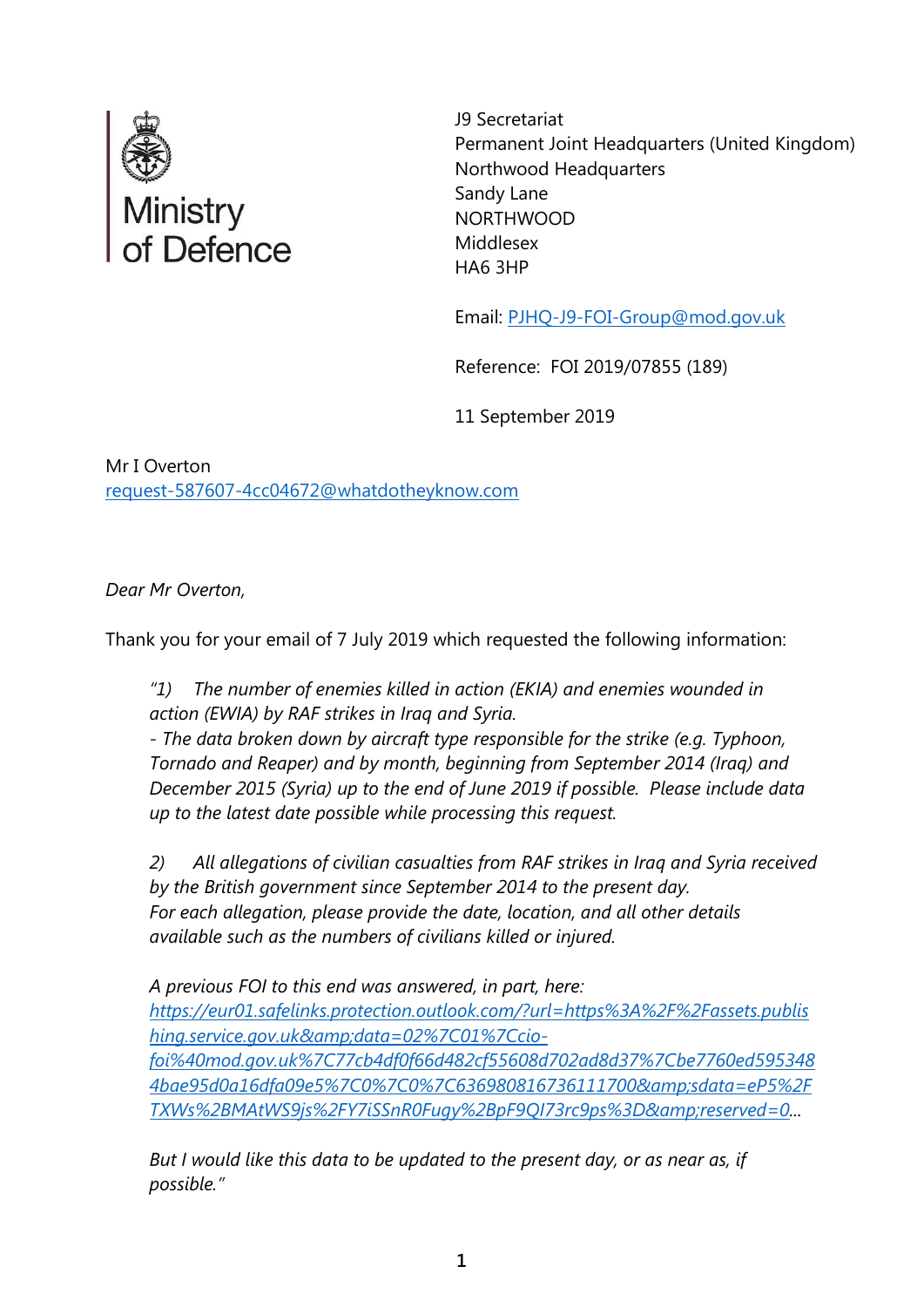

 J9 Secretariat Permanent Joint Headquarters (United Kingdom) Northwood Headquarters Sandy Lane NORTHWOOD Middlesex HA6 3HP

Email: [PJHQ-J9-FOI-Group@mod.gov.uk](mailto:xxxxxxxxxxxxxxxxx@xxx.xxx.xx)

Reference: FOI 2019/07855 (189)

11 September 2019

Mr I Overton request-587607-4cc04672@whatdotheyknow.com

*Dear Mr Overton,*

Thank you for your email of 7 July 2019 which requested the following information:

*"1) The number of enemies killed in action (EKIA) and enemies wounded in action (EWIA) by RAF strikes in Iraq and Syria.*

*- The data broken down by aircraft type responsible for the strike (e.g. Typhoon, Tornado and Reaper) and by month, beginning from September 2014 (Iraq) and December 2015 (Syria) up to the end of June 2019 if possible. Please include data up to the latest date possible while processing this request.*

*2) All allegations of civilian casualties from RAF strikes in Iraq and Syria received by the British government since September 2014 to the present day. For each allegation, please provide the date, location, and all other details available such as the numbers of civilians killed or injured.*

*A previous FOI to this end was answered, in part, here: [https://eur01.safelinks.protection.outlook.com/?url=https%3A%2F%2Fassets.publis](https://eur01.safelinks.protection.outlook.com/?url=https%3A%2F%2Fassets.publishing.service.gov.uk&data=02%7C01%7Ccio-foi%40mod.gov.uk%7C77cb4df0f66d482cf55608d702ad8d37%7Cbe7760ed5953484bae95d0a16dfa09e5%7C0%7C0%7C636980816736111700&sdata=eP5%2FTXWs%2BMAtWS9js%2FY7iSSnR0Fugy%2BpF9QI73rc9ps%3D&reserved=0) [hing.service.gov.uk&data=02%7C01%7Ccio](https://eur01.safelinks.protection.outlook.com/?url=https%3A%2F%2Fassets.publishing.service.gov.uk&data=02%7C01%7Ccio-foi%40mod.gov.uk%7C77cb4df0f66d482cf55608d702ad8d37%7Cbe7760ed5953484bae95d0a16dfa09e5%7C0%7C0%7C636980816736111700&sdata=eP5%2FTXWs%2BMAtWS9js%2FY7iSSnR0Fugy%2BpF9QI73rc9ps%3D&reserved=0)[foi%40mod.gov.uk%7C77cb4df0f66d482cf55608d702ad8d37%7Cbe7760ed595348](https://eur01.safelinks.protection.outlook.com/?url=https%3A%2F%2Fassets.publishing.service.gov.uk&data=02%7C01%7Ccio-foi%40mod.gov.uk%7C77cb4df0f66d482cf55608d702ad8d37%7Cbe7760ed5953484bae95d0a16dfa09e5%7C0%7C0%7C636980816736111700&sdata=eP5%2FTXWs%2BMAtWS9js%2FY7iSSnR0Fugy%2BpF9QI73rc9ps%3D&reserved=0) [4bae95d0a16dfa09e5%7C0%7C0%7C636980816736111700&sdata=eP5%2F](https://eur01.safelinks.protection.outlook.com/?url=https%3A%2F%2Fassets.publishing.service.gov.uk&data=02%7C01%7Ccio-foi%40mod.gov.uk%7C77cb4df0f66d482cf55608d702ad8d37%7Cbe7760ed5953484bae95d0a16dfa09e5%7C0%7C0%7C636980816736111700&sdata=eP5%2FTXWs%2BMAtWS9js%2FY7iSSnR0Fugy%2BpF9QI73rc9ps%3D&reserved=0) [TXWs%2BMAtWS9js%2FY7iSSnR0Fugy%2BpF9QI73rc9ps%3D&reserved=0.](https://eur01.safelinks.protection.outlook.com/?url=https%3A%2F%2Fassets.publishing.service.gov.uk&data=02%7C01%7Ccio-foi%40mod.gov.uk%7C77cb4df0f66d482cf55608d702ad8d37%7Cbe7760ed5953484bae95d0a16dfa09e5%7C0%7C0%7C636980816736111700&sdata=eP5%2FTXWs%2BMAtWS9js%2FY7iSSnR0Fugy%2BpF9QI73rc9ps%3D&reserved=0)..*

*But I would like this data to be updated to the present day, or as near as, if possible."*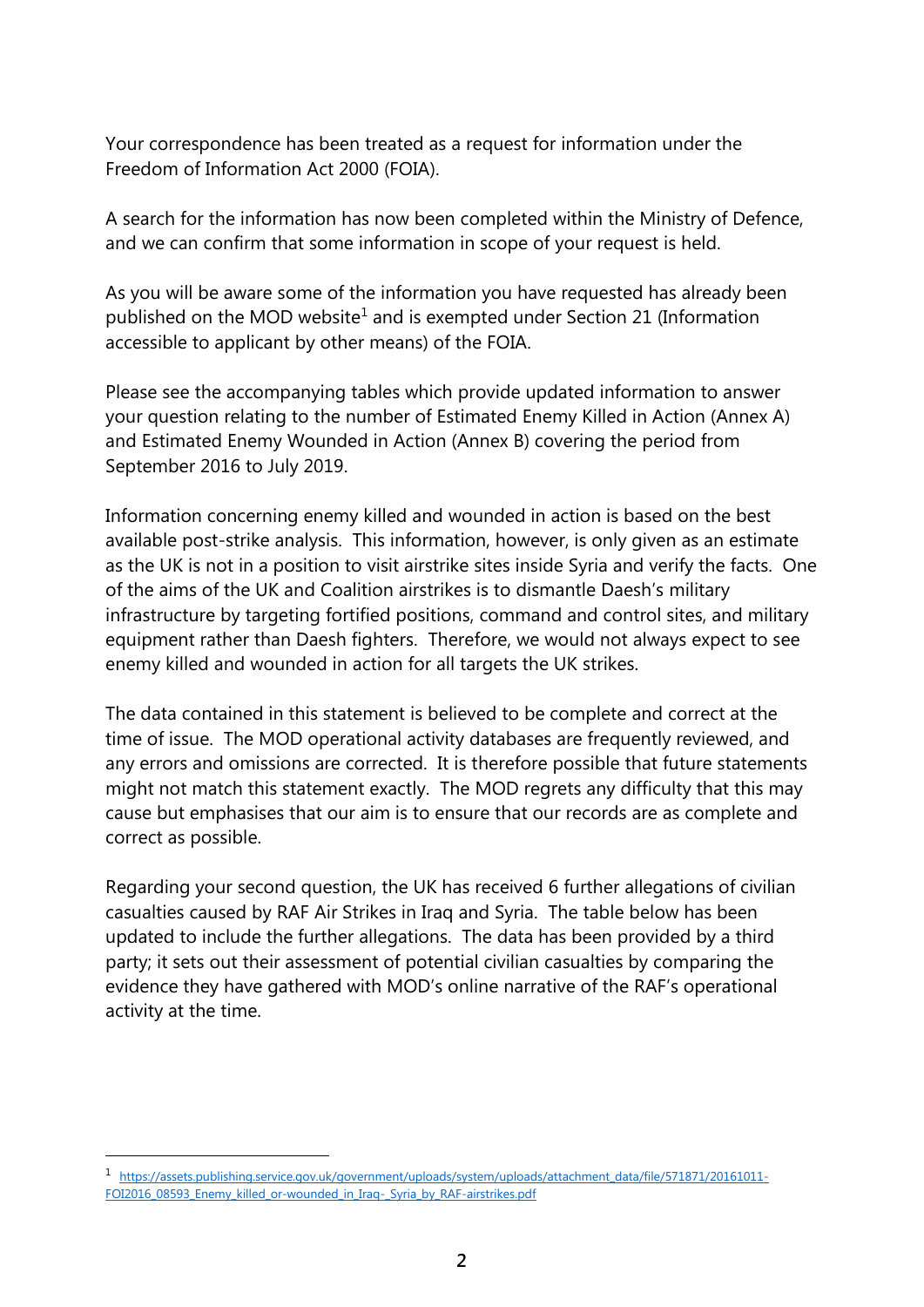Your correspondence has been treated as a request for information under the Freedom of Information Act 2000 (FOIA).

A search for the information has now been completed within the Ministry of Defence, and we can confirm that some information in scope of your request is held.

As you will be aware some of the information you have requested has already been published on the MOD website<sup>1</sup> and is exempted under Section 21 (Information accessible to applicant by other means) of the FOIA.

Please see the accompanying tables which provide updated information to answer your question relating to the number of Estimated Enemy Killed in Action (Annex A) and Estimated Enemy Wounded in Action (Annex B) covering the period from September 2016 to July 2019.

Information concerning enemy killed and wounded in action is based on the best available post-strike analysis. This information, however, is only given as an estimate as the UK is not in a position to visit airstrike sites inside Syria and verify the facts. One of the aims of the UK and Coalition airstrikes is to dismantle Daesh's military infrastructure by targeting fortified positions, command and control sites, and military equipment rather than Daesh fighters. Therefore, we would not always expect to see enemy killed and wounded in action for all targets the UK strikes.

The data contained in this statement is believed to be complete and correct at the time of issue. The MOD operational activity databases are frequently reviewed, and any errors and omissions are corrected. It is therefore possible that future statements might not match this statement exactly. The MOD regrets any difficulty that this may cause but emphasises that our aim is to ensure that our records are as complete and correct as possible.

Regarding your second question, the UK has received 6 further allegations of civilian casualties caused by RAF Air Strikes in Iraq and Syria. The table below has been updated to include the further allegations. The data has been provided by a third party; it sets out their assessment of potential civilian casualties by comparing the evidence they have gathered with MOD's online narrative of the RAF's operational activity at the time.

l

<sup>1</sup> [https://assets.publishing.service.gov.uk/government/uploads/system/uploads/attachment\\_data/file/571871/20161011-](https://assets.publishing.service.gov.uk/government/uploads/system/uploads/attachment_data/file/571871/20161011-FOI2016_08593_Enemy_killed_or-wounded_in_Iraq-_Syria_by_RAF-airstrikes.pdf) [FOI2016\\_08593\\_Enemy\\_killed\\_or-wounded\\_in\\_Iraq-\\_Syria\\_by\\_RAF-airstrikes.pdf](https://assets.publishing.service.gov.uk/government/uploads/system/uploads/attachment_data/file/571871/20161011-FOI2016_08593_Enemy_killed_or-wounded_in_Iraq-_Syria_by_RAF-airstrikes.pdf)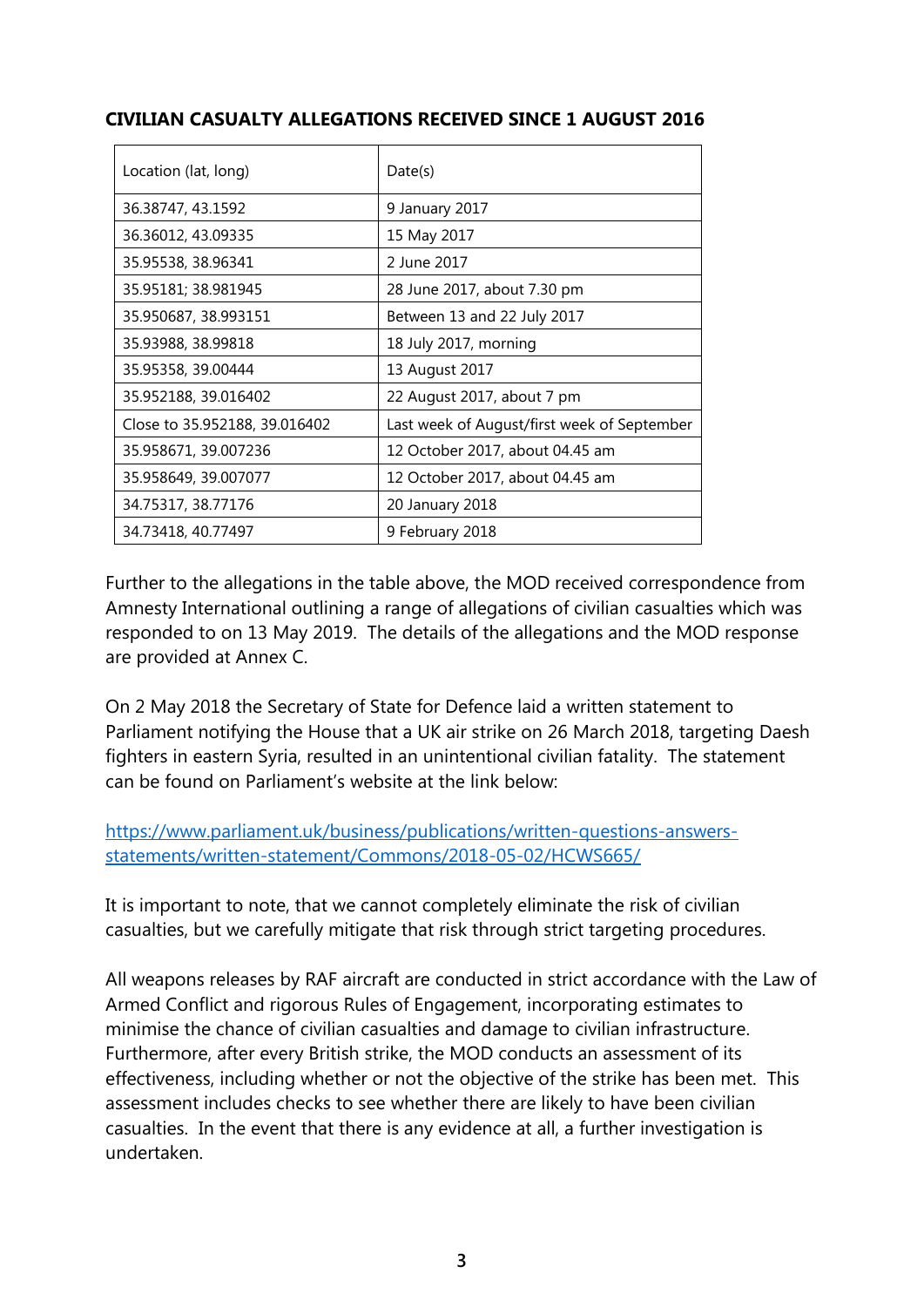## **CIVILIAN CASUALTY ALLEGATIONS RECEIVED SINCE 1 AUGUST 2016**

| Location (lat, long)          | Date(s)                                     |
|-------------------------------|---------------------------------------------|
| 36.38747, 43.1592             | 9 January 2017                              |
| 36.36012, 43.09335            | 15 May 2017                                 |
| 35.95538, 38.96341            | 2 June 2017                                 |
| 35.95181; 38.981945           | 28 June 2017, about 7.30 pm                 |
| 35.950687, 38.993151          | Between 13 and 22 July 2017                 |
| 35.93988, 38.99818            | 18 July 2017, morning                       |
| 35.95358, 39.00444            | 13 August 2017                              |
| 35.952188, 39.016402          | 22 August 2017, about 7 pm                  |
| Close to 35.952188, 39.016402 | Last week of August/first week of September |
| 35.958671, 39.007236          | 12 October 2017, about 04.45 am             |
| 35.958649, 39.007077          | 12 October 2017, about 04.45 am             |
| 34.75317, 38.77176            | 20 January 2018                             |
| 34.73418, 40.77497            | 9 February 2018                             |

Further to the allegations in the table above, the MOD received correspondence from Amnesty International outlining a range of allegations of civilian casualties which was responded to on 13 May 2019. The details of the allegations and the MOD response are provided at Annex C.

On 2 May 2018 the Secretary of State for Defence laid a written statement to Parliament notifying the House that a UK air strike on 26 March 2018, targeting Daesh fighters in eastern Syria, resulted in an unintentional civilian fatality. The statement can be found on Parliament's website at the link below:

[https://www.parliament.uk/business/publications/written-questions-answers](https://www.parliament.uk/business/publications/written-questions-answers-statements/written-statement/Commons/2018-05-02/HCWS665/)[statements/written-statement/Commons/2018-05-02/HCWS665/](https://www.parliament.uk/business/publications/written-questions-answers-statements/written-statement/Commons/2018-05-02/HCWS665/)

It is important to note, that we cannot completely eliminate the risk of civilian casualties, but we carefully mitigate that risk through strict targeting procedures.

All weapons releases by RAF aircraft are conducted in strict accordance with the Law of Armed Conflict and rigorous Rules of Engagement, incorporating estimates to minimise the chance of civilian casualties and damage to civilian infrastructure. Furthermore, after every British strike, the MOD conducts an assessment of its effectiveness, including whether or not the objective of the strike has been met. This assessment includes checks to see whether there are likely to have been civilian casualties. In the event that there is any evidence at all, a further investigation is undertaken.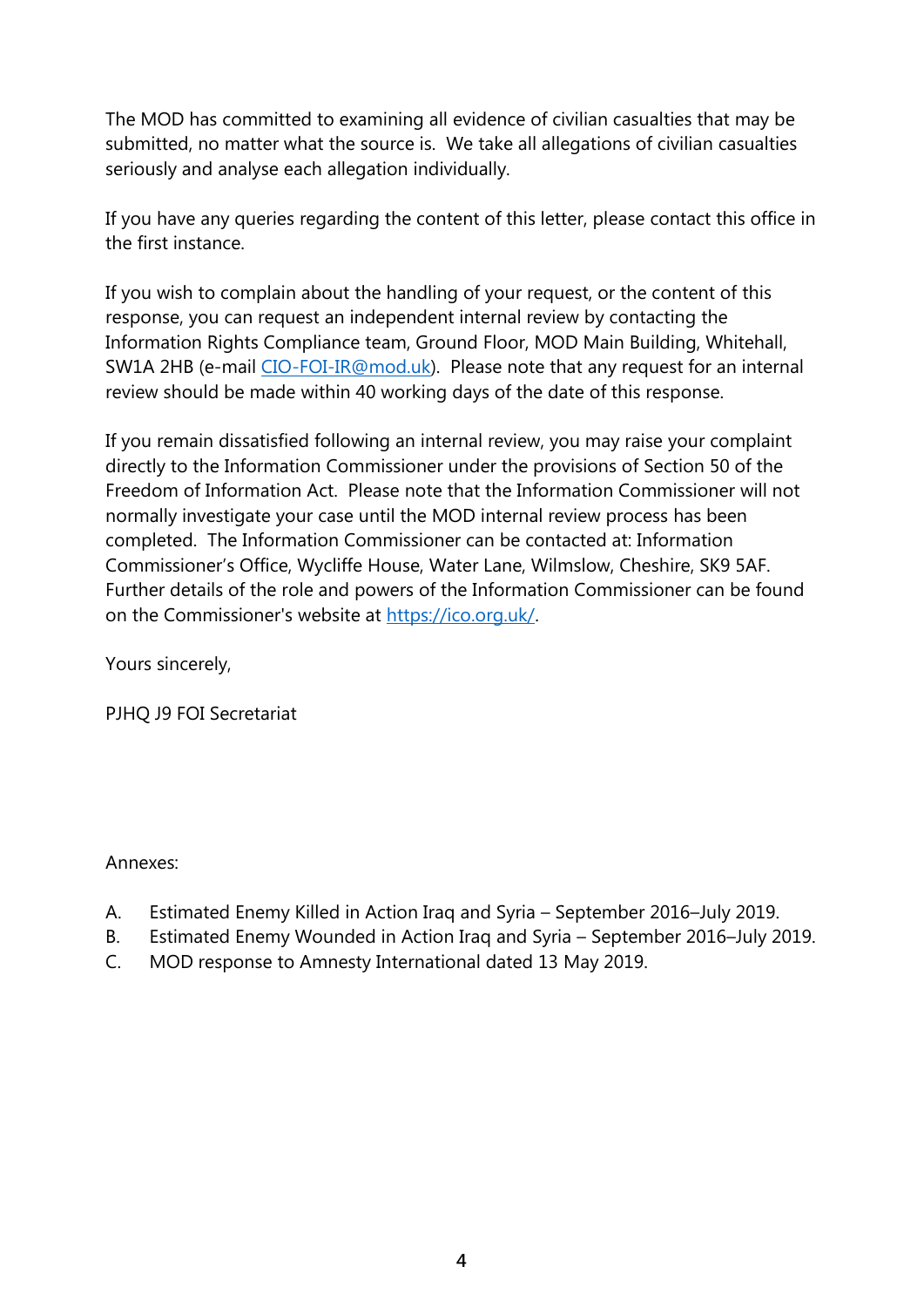The MOD has committed to examining all evidence of civilian casualties that may be submitted, no matter what the source is. We take all allegations of civilian casualties seriously and analyse each allegation individually.

If you have any queries regarding the content of this letter, please contact this office in the first instance.

If you wish to complain about the handling of your request, or the content of this response, you can request an independent internal review by contacting the Information Rights Compliance team, Ground Floor, MOD Main Building, Whitehall, SW1A 2HB (e-mail [CIO-FOI-IR@mod.uk\)](mailto:xxxxxxxxxx@xxx.xx). Please note that any request for an internal review should be made within 40 working days of the date of this response.

If you remain dissatisfied following an internal review, you may raise your complaint directly to the Information Commissioner under the provisions of Section 50 of the Freedom of Information Act. Please note that the Information Commissioner will not normally investigate your case until the MOD internal review process has been completed. The Information Commissioner can be contacted at: Information Commissioner's Office, Wycliffe House, Water Lane, Wilmslow, Cheshire, SK9 5AF. Further details of the role and powers of the Information Commissioner can be found on the Commissioner's website at [https://ico.org.uk/.](https://ico.org.uk/)

Yours sincerely,

PJHQ J9 FOI Secretariat

#### Annexes:

- A. Estimated Enemy Killed in Action Iraq and Syria September 2016–July 2019.
- B. Estimated Enemy Wounded in Action Iraq and Syria September 2016–July 2019.
- C. MOD response to Amnesty International dated 13 May 2019.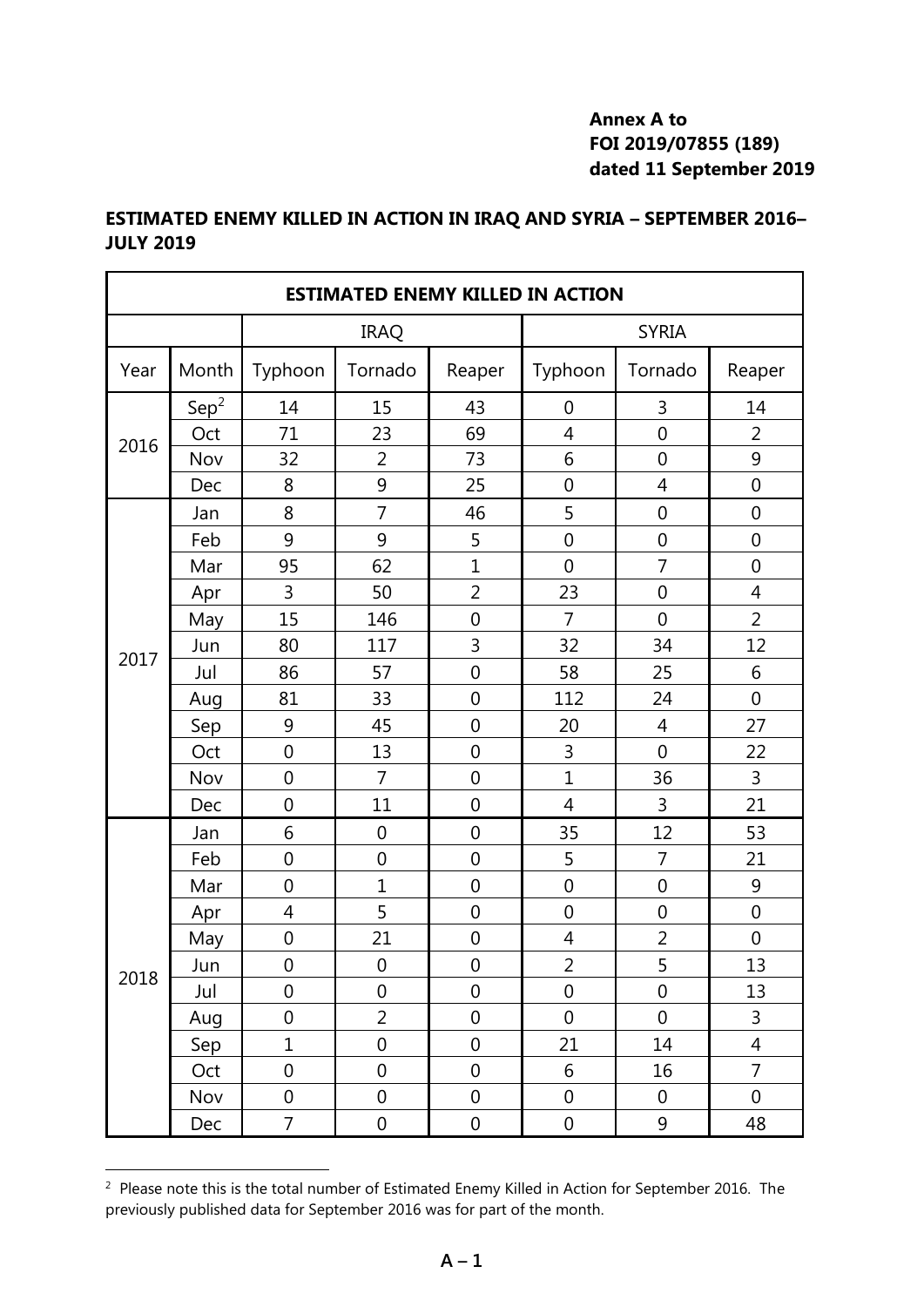# **Annex A to FOI 2019/07855 (189) dated 11 September 2019**

# **ESTIMATED ENEMY KILLED IN ACTION IN IRAQ AND SYRIA – SEPTEMBER 2016– JULY 2019**

| <b>ESTIMATED ENEMY KILLED IN ACTION</b> |                  |                  |                  |                  |                  |                  |                  |
|-----------------------------------------|------------------|------------------|------------------|------------------|------------------|------------------|------------------|
|                                         |                  | <b>IRAQ</b>      |                  |                  | <b>SYRIA</b>     |                  |                  |
| Year                                    | Month            | Typhoon          | Tornado          | Reaper           | Typhoon          | Tornado          | Reaper           |
|                                         | Sep <sup>2</sup> | 14               | 15               | 43               | $\boldsymbol{0}$ | 3                | 14               |
| 2016                                    | Oct              | 71               | 23               | 69               | 4                | $\mathbf 0$      | 2                |
|                                         | Nov              | 32               | 2                | 73               | 6                | 0                | 9                |
|                                         | Dec              | 8                | 9                | 25               | $\mathbf 0$      | 4                | $\mathbf 0$      |
|                                         | Jan              | 8                | $\overline{7}$   | 46               | 5                | 0                | $\mathbf 0$      |
|                                         | Feb              | 9                | 9                | 5                | $\mathbf 0$      | $\mathbf 0$      | $\mathbf 0$      |
|                                         | Mar              | 95               | 62               | $\overline{1}$   | $\mathbf 0$      | $\overline{7}$   | $\mathbf 0$      |
|                                         | Apr              | 3                | 50               | $\overline{2}$   | 23               | 0                | $\overline{4}$   |
|                                         | May              | 15               | 146              | $\mathbf 0$      | 7                | $\mathbf 0$      | $\overline{2}$   |
| 2017                                    | Jun              | 80               | 117              | 3                | 32               | 34               | 12               |
|                                         | Jul              | 86               | 57               | 0                | 58               | 25               | 6                |
|                                         | Aug              | 81               | 33               | $\boldsymbol{0}$ | 112              | 24               | $\boldsymbol{0}$ |
|                                         | Sep              | 9                | 45               | $\mathbf 0$      | 20               | $\overline{4}$   | 27               |
|                                         | Oct              | $\mathbf 0$      | 13               | $\mathbf 0$      | 3                | $\mathbf 0$      | 22               |
|                                         | Nov              | 0                | $\overline{7}$   | $\mathbf 0$      | $\overline{1}$   | 36               | 3                |
|                                         | Dec              | 0                | 11               | $\mathbf 0$      | $\overline{4}$   | 3                | 21               |
|                                         | Jan              | 6                | $\mathbf 0$      | $\mathbf 0$      | 35               | 12               | 53               |
|                                         | Feb              | $\mathbf 0$      | $\mathbf 0$      | 0                | 5                | 7                | 21               |
|                                         | Mar              | $\mathbf 0$      | $\mathbf{1}$     | $\mathbf 0$      | $\boldsymbol{0}$ | $\mathbf 0$      | 9                |
|                                         | Apr              | 4                | 5                | $\mathbf 0$      | $\mathbf 0$      | $\mathbf 0$      | $\mathbf 0$      |
|                                         | May              | $\boldsymbol{0}$ | 21               | 0                | 4                | $\overline{2}$   | $\mathbf 0$      |
| 2018                                    | Jun              | 0                | $\boldsymbol{0}$ | 0                | $\overline{a}$   | 5                | 13               |
|                                         | Jul              | $\overline{0}$   | $\overline{0}$   | $\mathbf 0$      | $\boldsymbol{0}$ | $\boldsymbol{0}$ | 13               |
|                                         | Aug              | 0                | $\overline{2}$   | 0                | $\boldsymbol{0}$ | $\overline{0}$   | 3                |
|                                         | Sep              | $\mathbf 1$      | $\boldsymbol{0}$ | $\mathbf 0$      | 21               | 14               | $\overline{4}$   |
|                                         | Oct              | 0                | $\boldsymbol{0}$ | $\boldsymbol{0}$ | 6                | 16               | $\overline{7}$   |
|                                         | Nov              | $\boldsymbol{0}$ | $\mathbf 0$      | 0                | $\boldsymbol{0}$ | $\boldsymbol{0}$ | $\boldsymbol{0}$ |
|                                         | Dec              | $\overline{7}$   | $\boldsymbol{0}$ | 0                | 0                | 9                | 48               |

 $2$  Please note this is the total number of Estimated Enemy Killed in Action for September 2016. The previously published data for September 2016 was for part of the month.

l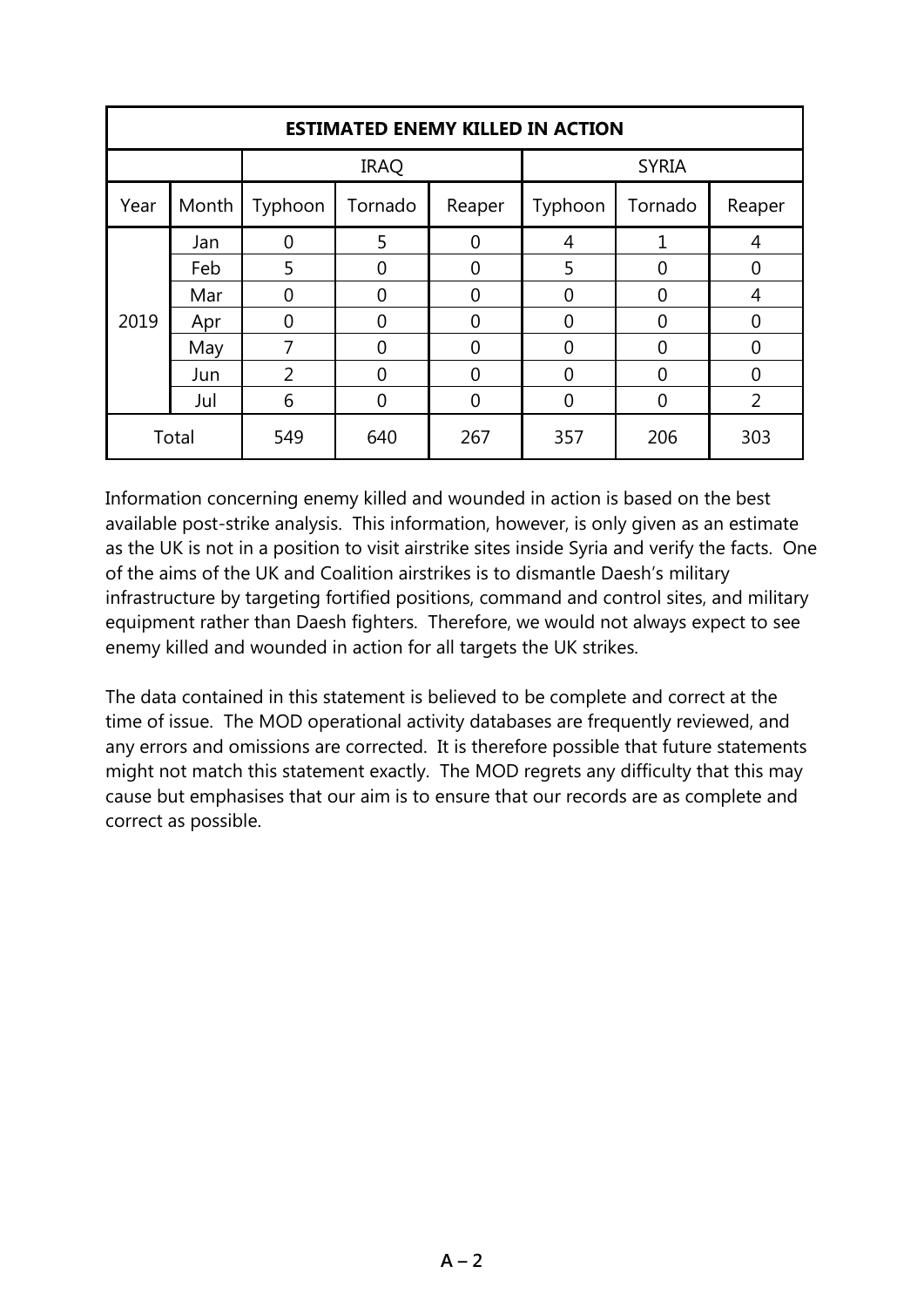| <b>ESTIMATED ENEMY KILLED IN ACTION</b> |       |                |          |          |              |          |                |  |
|-----------------------------------------|-------|----------------|----------|----------|--------------|----------|----------------|--|
|                                         |       | <b>IRAQ</b>    |          |          | <b>SYRIA</b> |          |                |  |
| Year                                    | Month | Typhoon        | Tornado  | Reaper   | Typhoon      | Tornado  | Reaper         |  |
| 2019                                    | Jan   | 0              | 5        | 0        | 4            | 1        | $\overline{4}$ |  |
|                                         | Feb   | 5              | 0        | 0        | 5            | 0        | 0              |  |
|                                         | Mar   | 0              | $\Omega$ | $\Omega$ | 0            | 0        | 4              |  |
|                                         | Apr   | 0              | $\Omega$ | $\Omega$ | 0            | 0        | $\overline{0}$ |  |
|                                         | May   | 7              | $\Omega$ | $\Omega$ | 0            | 0        | 0              |  |
|                                         | Jun   | $\overline{2}$ | $\Omega$ | $\Omega$ | 0            | $\Omega$ | $\overline{0}$ |  |
|                                         | Jul   | 6              | 0        | 0        | 0            | 0        | 2              |  |
| Total                                   |       | 549            | 640      | 267      | 357          | 206      | 303            |  |

Information concerning enemy killed and wounded in action is based on the best available post-strike analysis. This information, however, is only given as an estimate as the UK is not in a position to visit airstrike sites inside Syria and verify the facts. One of the aims of the UK and Coalition airstrikes is to dismantle Daesh's military infrastructure by targeting fortified positions, command and control sites, and military equipment rather than Daesh fighters. Therefore, we would not always expect to see enemy killed and wounded in action for all targets the UK strikes.

The data contained in this statement is believed to be complete and correct at the time of issue. The MOD operational activity databases are frequently reviewed, and any errors and omissions are corrected. It is therefore possible that future statements might not match this statement exactly. The MOD regrets any difficulty that this may cause but emphasises that our aim is to ensure that our records are as complete and correct as possible.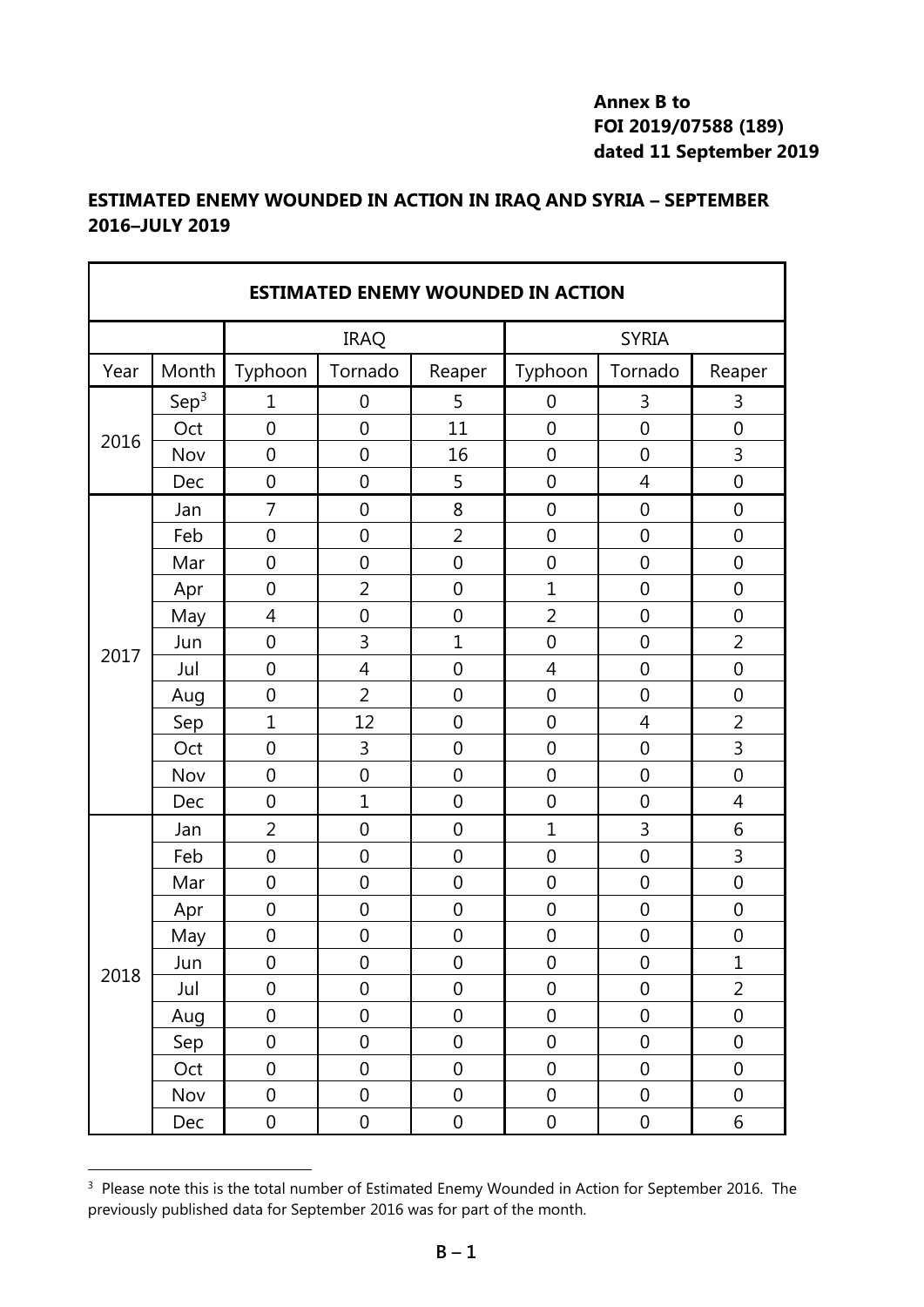### **Annex B to FOI 2019/07588 (189) dated 11 September 2019**

## **ESTIMATED ENEMY WOUNDED IN ACTION IN IRAQ AND SYRIA – SEPTEMBER 2016–JULY 2019**

| <b>ESTIMATED ENEMY WOUNDED IN ACTION</b> |                  |                  |                  |                  |                  |                  |                  |
|------------------------------------------|------------------|------------------|------------------|------------------|------------------|------------------|------------------|
|                                          |                  | <b>IRAQ</b>      |                  |                  | <b>SYRIA</b>     |                  |                  |
| Year                                     | Month            | Typhoon          | Tornado          | Reaper           | Typhoon          | Tornado          | Reaper           |
|                                          | Sep <sup>3</sup> | 1                | 0                | 5                | $\boldsymbol{0}$ | 3                | 3                |
| 2016                                     | Oct              | $\overline{0}$   | $\overline{0}$   | 11               | $\overline{0}$   | $\overline{0}$   | $\mathbf 0$      |
|                                          | Nov              | $\overline{0}$   | $\mathbf 0$      | 16               | $\overline{0}$   | $\overline{0}$   | 3                |
|                                          | Dec              | $\overline{0}$   | $\overline{0}$   | 5                | $\overline{0}$   | $\overline{4}$   | $\overline{0}$   |
|                                          | Jan              | $\overline{7}$   | $\mathbf 0$      | 8                | $\overline{0}$   | $\mathbf 0$      | $\mathbf 0$      |
|                                          | Feb              | $\mathbf 0$      | $\mathbf 0$      | $\overline{2}$   | $\mathbf 0$      | $\mathbf 0$      | $\mathbf 0$      |
|                                          | Mar              | $\mathbf 0$      | $\mathbf 0$      | $\mathbf 0$      | $\mathbf 0$      | $\mathbf 0$      | $\mathbf 0$      |
|                                          | Apr              | $\overline{0}$   | $\overline{2}$   | $\mathbf 0$      | $\mathbf{1}$     | $\mathbf 0$      | $\mathbf 0$      |
|                                          | May              | $\overline{4}$   | $\mathbf 0$      | $\mathbf 0$      | $\overline{2}$   | $\mathbf 0$      | $\mathbf 0$      |
| 2017                                     | Jun              | $\mathbf 0$      | $\overline{3}$   | $\overline{1}$   | $\overline{0}$   | $\mathbf 0$      | $\overline{2}$   |
|                                          | Jul              | $\overline{0}$   | $\overline{4}$   | $\overline{0}$   | $\overline{4}$   | $\mathbf 0$      | $\mathbf 0$      |
|                                          | Aug              | $\mathbf 0$      | $\overline{2}$   | $\mathbf 0$      | $\mathbf 0$      | $\mathbf 0$      | $\mathbf 0$      |
|                                          | Sep              | $\mathbf{1}$     | 12               | $\mathbf 0$      | $\mathbf 0$      | $\overline{4}$   | $\overline{2}$   |
|                                          | Oct              | $\mathbf 0$      | 3                | $\mathbf 0$      | $\mathbf 0$      | $\mathbf 0$      | 3                |
|                                          | Nov              | $\mathbf 0$      | $\mathbf 0$      | $\mathbf 0$      | $\mathbf 0$      | $\mathbf 0$      | $\mathbf 0$      |
|                                          | Dec              | $\overline{0}$   | $\mathbf{1}$     | $\overline{0}$   | $\overline{0}$   | $\mathbf 0$      | $\overline{4}$   |
|                                          | Jan              | 2                | $\mathbf 0$      | $\mathbf 0$      | $\mathbf{1}$     | 3                | 6                |
|                                          | Feb              | $\overline{0}$   | $\mathbf 0$      | $\overline{0}$   | $\overline{0}$   | $\mathbf 0$      | 3                |
|                                          | Mar              | $\overline{0}$   | $\overline{0}$   | $\overline{0}$   | $\overline{0}$   | $\overline{0}$   | $\mathbf 0$      |
|                                          | Apr              | $\mathbf 0$      | $\boldsymbol{0}$ | $\boldsymbol{0}$ | $\mathbf 0$      | $\mathbf 0$      | $\mathbf 0$      |
|                                          | May              | $\mathbf 0$      | $\mathbf 0$      | $\mathbf 0$      | $\mathbf 0$      | $\mathbf 0$      | $\mathbf 0$      |
| 2018                                     | Jun              | 0                | 0                | 0                | 0                | $\boldsymbol{0}$ | $\mathbf 1$      |
|                                          | Jul              | $\boldsymbol{0}$ | $\boldsymbol{0}$ | $\boldsymbol{0}$ | $\boldsymbol{0}$ | $\boldsymbol{0}$ | $\overline{2}$   |
|                                          | Aug              | $\mathbf 0$      | $\mathbf 0$      | $\mathbf 0$      | $\boldsymbol{0}$ | $\boldsymbol{0}$ | $\mathbf 0$      |
|                                          | Sep              | $\boldsymbol{0}$ | $\boldsymbol{0}$ | $\boldsymbol{0}$ | $\boldsymbol{0}$ | $\boldsymbol{0}$ | $\boldsymbol{0}$ |
|                                          | Oct              | $\mathbf 0$      | $\mathbf 0$      | $\mathbf 0$      | $\mathbf 0$      | $\boldsymbol{0}$ | $\boldsymbol{0}$ |
|                                          | Nov              | $\boldsymbol{0}$ | $\boldsymbol{0}$ | $\boldsymbol{0}$ | $\boldsymbol{0}$ | $\boldsymbol{0}$ | $\boldsymbol{0}$ |
|                                          | Dec              | $\boldsymbol{0}$ | $\boldsymbol{0}$ | $\boldsymbol{0}$ | $\boldsymbol{0}$ | $\boldsymbol{0}$ | 6                |

 $3$  Please note this is the total number of Estimated Enemy Wounded in Action for September 2016. The previously published data for September 2016 was for part of the month.

1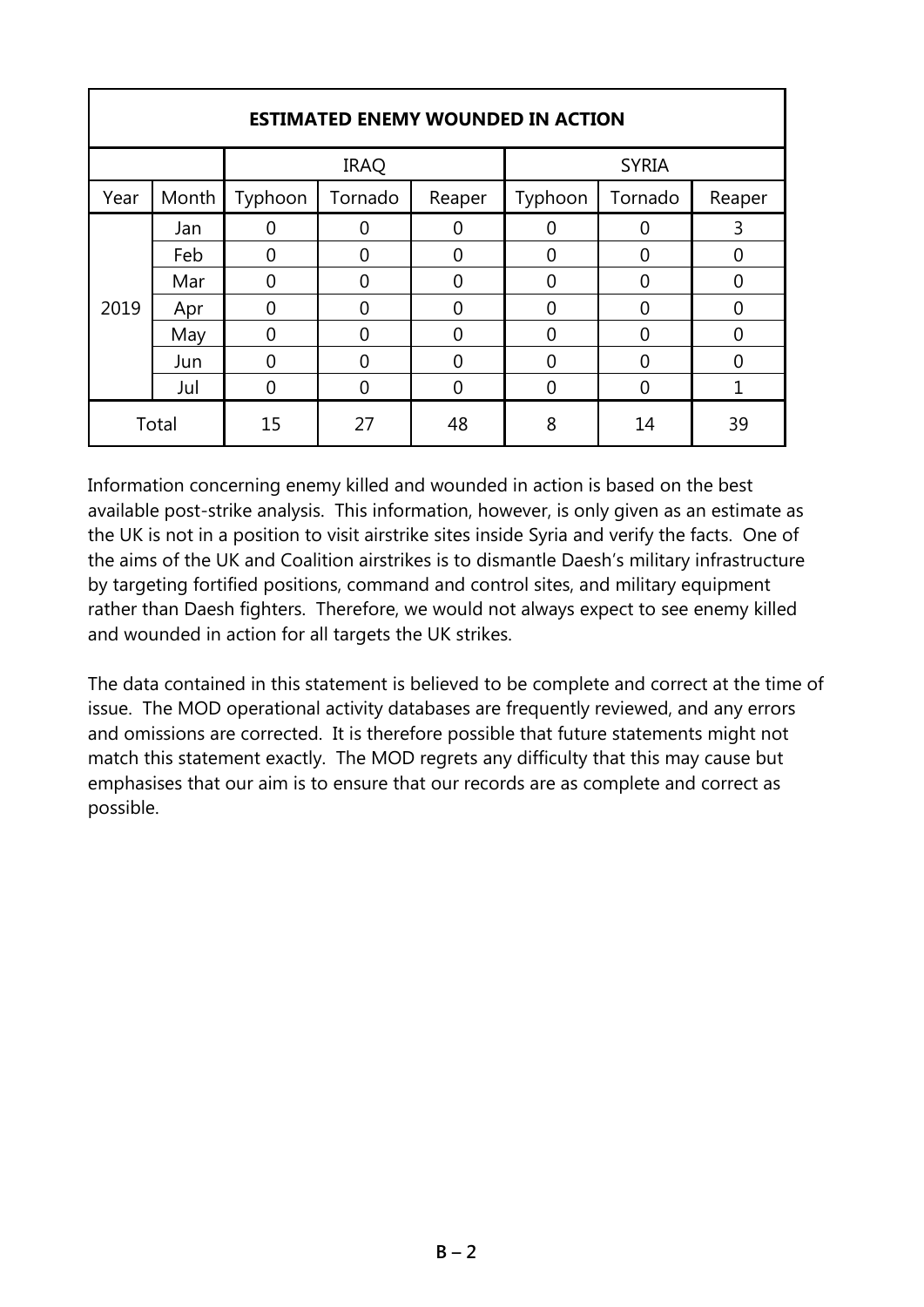| <b>ESTIMATED ENEMY WOUNDED IN ACTION</b> |       |         |              |        |          |          |          |  |
|------------------------------------------|-------|---------|--------------|--------|----------|----------|----------|--|
| <b>IRAQ</b>                              |       |         | <b>SYRIA</b> |        |          |          |          |  |
| Year                                     | Month | Typhoon | Tornado      | Reaper | Typhoon  | Tornado  | Reaper   |  |
| 2019                                     | Jan   |         |              |        |          |          | 3        |  |
|                                          | Feb   | ი       | U            | ი      | 0        | 0        | 0        |  |
|                                          | Mar   | 0       | ი            | 0      | 0        | 0        | $\Omega$ |  |
|                                          | Apr   | 0       | 0            | 0      | $\Omega$ | $\Omega$ | $\Omega$ |  |
|                                          | May   | 0       | 0            | 0      | 0        | 0        | 0        |  |
|                                          | Jun   | ი       | Ⴖ            | ი      | 0        | 0        | $\Omega$ |  |
|                                          | Jul   | በ       |              | ∩      | 0        | 0        |          |  |
| Total                                    |       | 15      | 27           | 48     | 8        | 14       | 39       |  |

## Information concerning enemy killed and wounded in action is based on the best available post-strike analysis. This information, however, is only given as an estimate as the UK is not in a position to visit airstrike sites inside Syria and verify the facts. One of the aims of the UK and Coalition airstrikes is to dismantle Daesh's military infrastructure by targeting fortified positions, command and control sites, and military equipment rather than Daesh fighters. Therefore, we would not always expect to see enemy killed and wounded in action for all targets the UK strikes.

The data contained in this statement is believed to be complete and correct at the time of issue. The MOD operational activity databases are frequently reviewed, and any errors and omissions are corrected. It is therefore possible that future statements might not match this statement exactly. The MOD regrets any difficulty that this may cause but emphasises that our aim is to ensure that our records are as complete and correct as possible.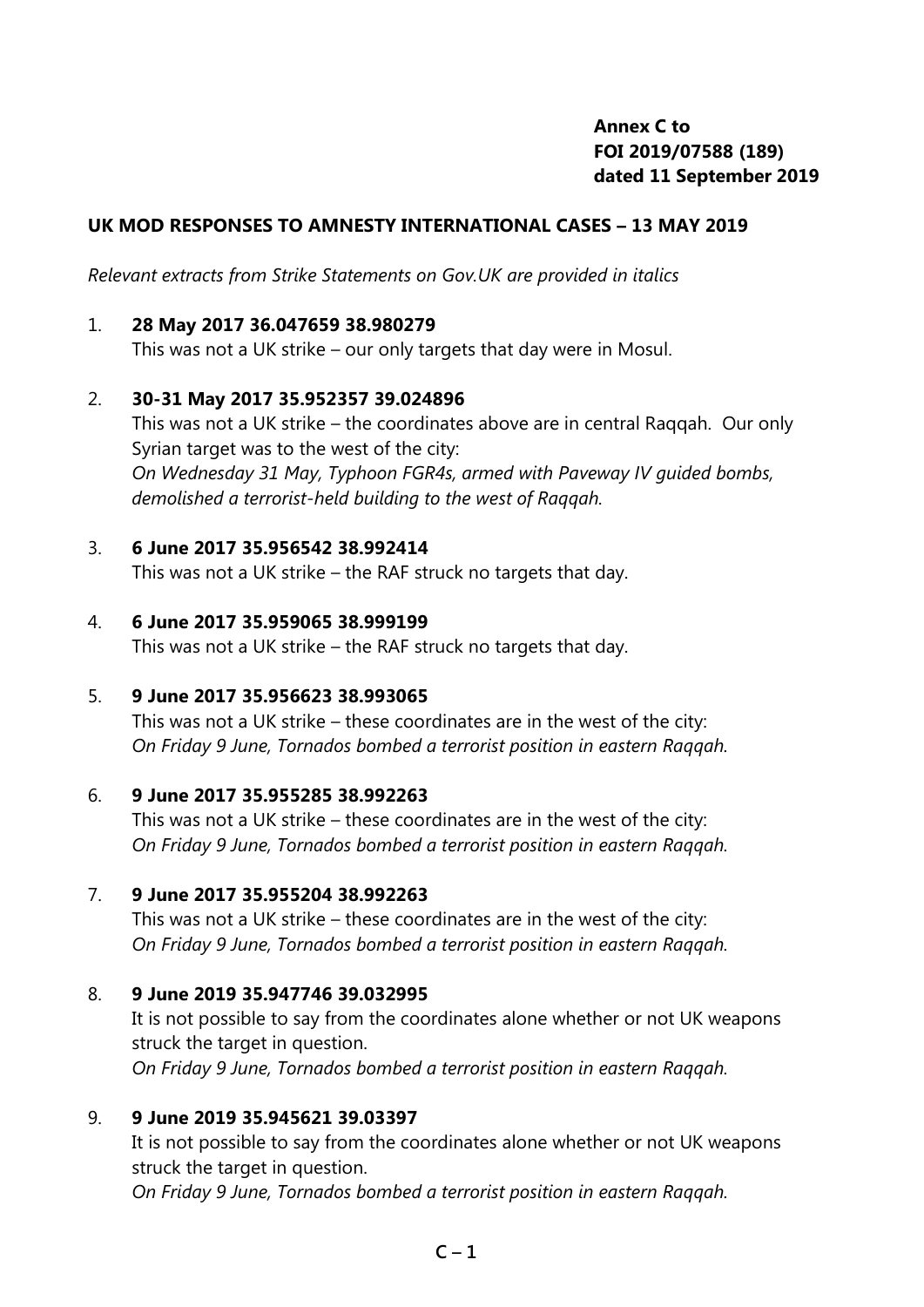## **Annex C to FOI 2019/07588 (189) dated 11 September 2019**

### **UK MOD RESPONSES TO AMNESTY INTERNATIONAL CASES – 13 MAY 2019**

*Relevant extracts from Strike Statements on Gov.UK are provided in italics* 

#### 1. **28 May 2017 36.047659 38.980279**

This was not a UK strike – our only targets that day were in Mosul.

#### 2. **30-31 May 2017 35.952357 39.024896**

This was not a UK strike – the coordinates above are in central Raqqah. Our only Syrian target was to the west of the city: *On Wednesday 31 May, Typhoon FGR4s, armed with Paveway IV guided bombs, demolished a terrorist-held building to the west of Raqqah.*

#### 3. **6 June 2017 35.956542 38.992414**

This was not a UK strike – the RAF struck no targets that day.

#### 4. **6 June 2017 35.959065 38.999199**

This was not a UK strike – the RAF struck no targets that day.

#### 5. **9 June 2017 35.956623 38.993065**

This was not a UK strike – these coordinates are in the west of the city: *On Friday 9 June, Tornados bombed a terrorist position in eastern Raqqah.*

#### 6. **9 June 2017 35.955285 38.992263**

This was not a UK strike – these coordinates are in the west of the city: *On Friday 9 June, Tornados bombed a terrorist position in eastern Raqqah.*

#### 7. **9 June 2017 35.955204 38.992263**

This was not a UK strike – these coordinates are in the west of the city: *On Friday 9 June, Tornados bombed a terrorist position in eastern Raqqah.*

#### 8. **9 June 2019 35.947746 39.032995**

It is not possible to say from the coordinates alone whether or not UK weapons struck the target in question. *On Friday 9 June, Tornados bombed a terrorist position in eastern Raqqah.*

#### 9. **9 June 2019 35.945621 39.03397**

It is not possible to say from the coordinates alone whether or not UK weapons struck the target in question. *On Friday 9 June, Tornados bombed a terrorist position in eastern Raqqah.*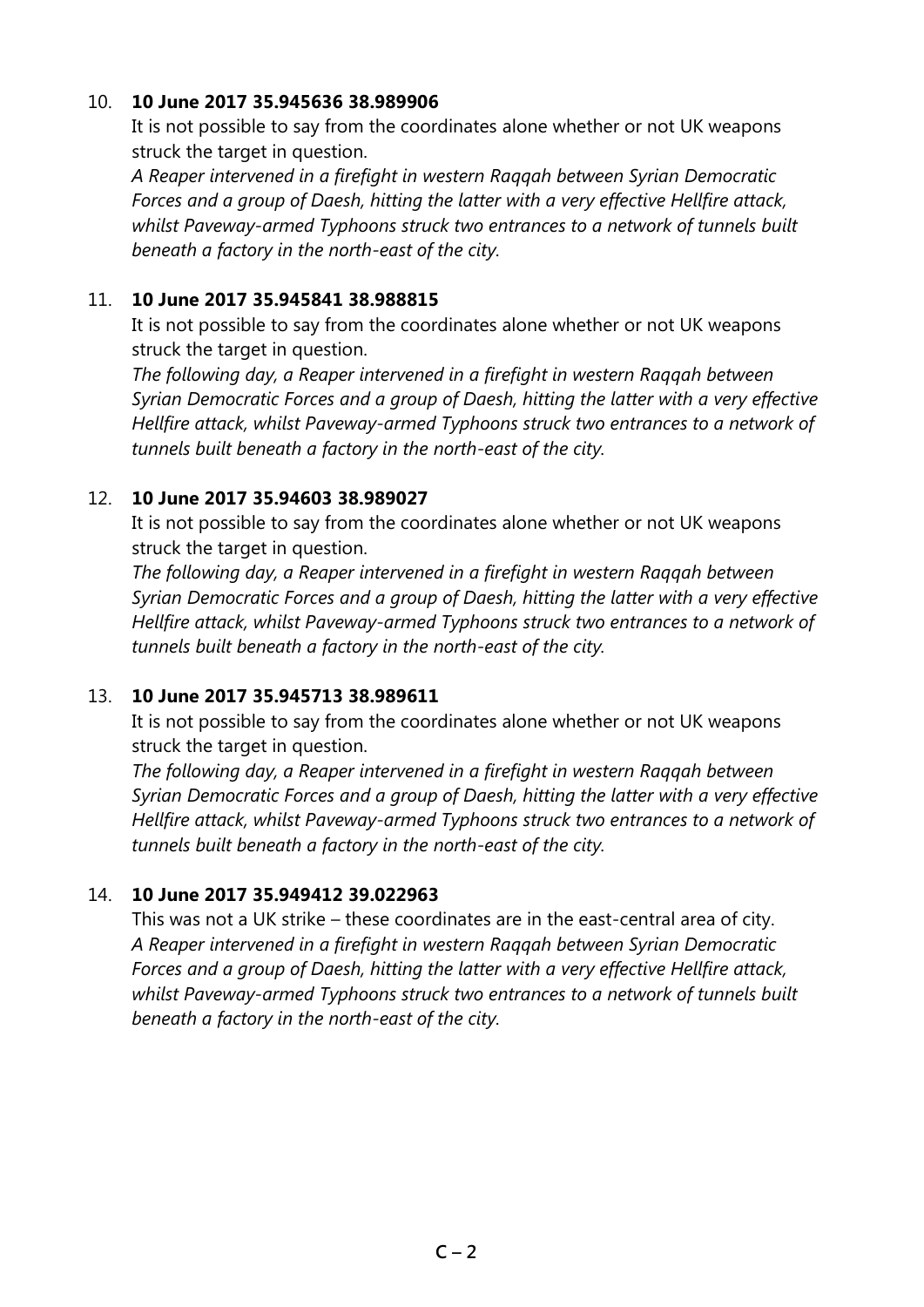### 10. **10 June 2017 35.945636 38.989906**

It is not possible to say from the coordinates alone whether or not UK weapons struck the target in question.

*A Reaper intervened in a firefight in western Raqqah between Syrian Democratic Forces and a group of Daesh, hitting the latter with a very effective Hellfire attack, whilst Paveway-armed Typhoons struck two entrances to a network of tunnels built beneath a factory in the north-east of the city.*

### 11. **10 June 2017 35.945841 38.988815**

It is not possible to say from the coordinates alone whether or not UK weapons struck the target in question.

*The following day, a Reaper intervened in a firefight in western Raqqah between Syrian Democratic Forces and a group of Daesh, hitting the latter with a very effective Hellfire attack, whilst Paveway-armed Typhoons struck two entrances to a network of tunnels built beneath a factory in the north-east of the city.*

## 12. **10 June 2017 35.94603 38.989027**

It is not possible to say from the coordinates alone whether or not UK weapons struck the target in question.

*The following day, a Reaper intervened in a firefight in western Raqqah between Syrian Democratic Forces and a group of Daesh, hitting the latter with a very effective Hellfire attack, whilst Paveway-armed Typhoons struck two entrances to a network of tunnels built beneath a factory in the north-east of the city.*

## 13. **10 June 2017 35.945713 38.989611**

It is not possible to say from the coordinates alone whether or not UK weapons struck the target in question.

*The following day, a Reaper intervened in a firefight in western Raqqah between Syrian Democratic Forces and a group of Daesh, hitting the latter with a very effective Hellfire attack, whilst Paveway-armed Typhoons struck two entrances to a network of tunnels built beneath a factory in the north-east of the city.*

## 14. **10 June 2017 35.949412 39.022963**

This was not a UK strike – these coordinates are in the east-central area of city. *A Reaper intervened in a firefight in western Raqqah between Syrian Democratic Forces and a group of Daesh, hitting the latter with a very effective Hellfire attack, whilst Paveway-armed Typhoons struck two entrances to a network of tunnels built beneath a factory in the north-east of the city.*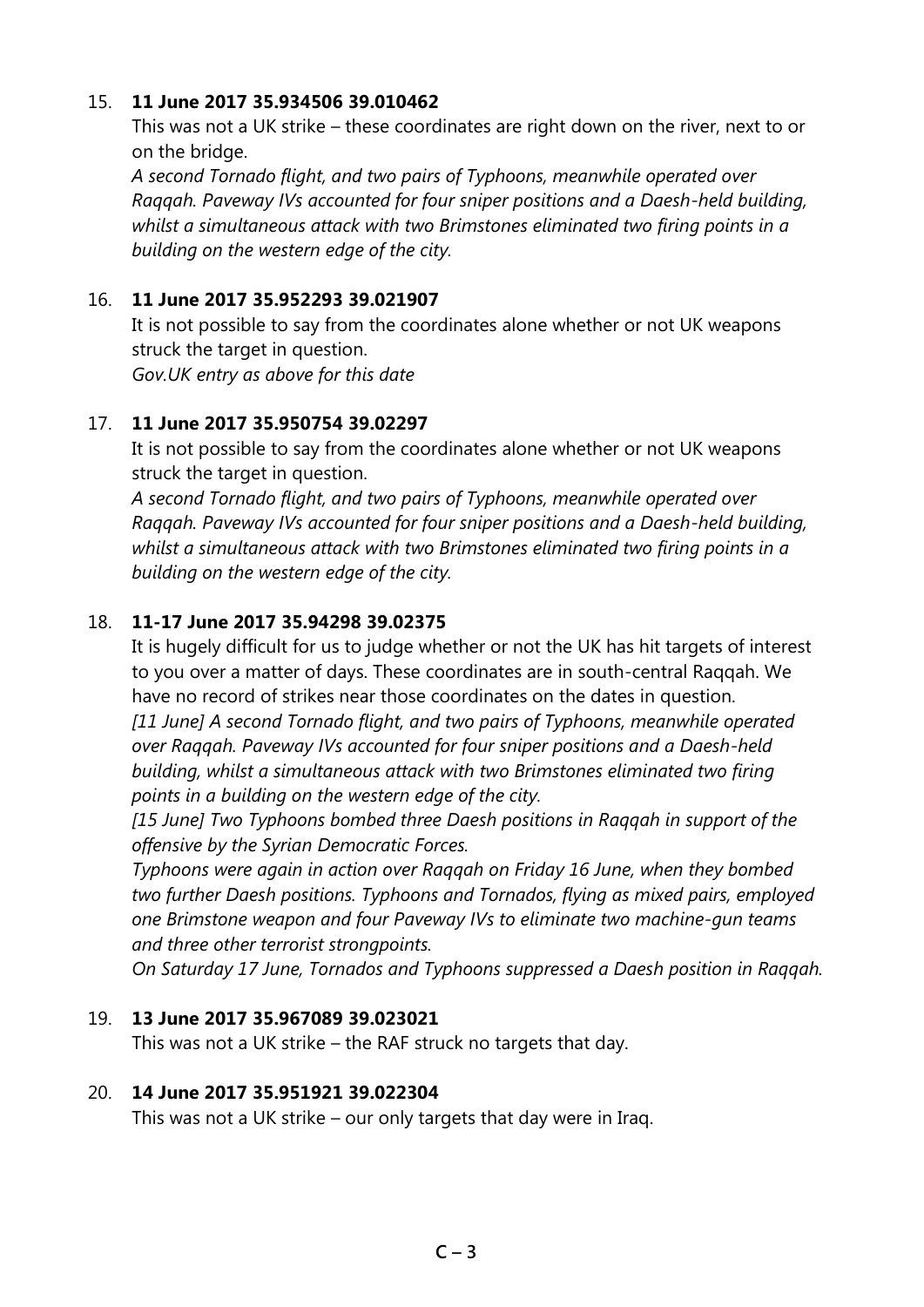### 15. **11 June 2017 35.934506 39.010462**

This was not a UK strike – these coordinates are right down on the river, next to or on the bridge.

*A second Tornado flight, and two pairs of Typhoons, meanwhile operated over Raqqah. Paveway IVs accounted for four sniper positions and a Daesh-held building, whilst a simultaneous attack with two Brimstones eliminated two firing points in a building on the western edge of the city.*

### 16. **11 June 2017 35.952293 39.021907**

It is not possible to say from the coordinates alone whether or not UK weapons struck the target in question. *Gov.UK entry as above for this date*

### 17. **11 June 2017 35.950754 39.02297**

It is not possible to say from the coordinates alone whether or not UK weapons struck the target in question.

*A second Tornado flight, and two pairs of Typhoons, meanwhile operated over Raqqah. Paveway IVs accounted for four sniper positions and a Daesh-held building, whilst a simultaneous attack with two Brimstones eliminated two firing points in a building on the western edge of the city.*

## 18. **11-17 June 2017 35.94298 39.02375**

It is hugely difficult for us to judge whether or not the UK has hit targets of interest to you over a matter of days. These coordinates are in south-central Raqqah. We have no record of strikes near those coordinates on the dates in question. *[11 June] A second Tornado flight, and two pairs of Typhoons, meanwhile operated over Raqqah. Paveway IVs accounted for four sniper positions and a Daesh-held building, whilst a simultaneous attack with two Brimstones eliminated two firing points in a building on the western edge of the city.* 

*[15 June] Two Typhoons bombed three Daesh positions in Raqqah in support of the offensive by the Syrian Democratic Forces.* 

*Typhoons were again in action over Raqqah on Friday 16 June, when they bombed two further Daesh positions. Typhoons and Tornados, flying as mixed pairs, employed one Brimstone weapon and four Paveway IVs to eliminate two machine-gun teams and three other terrorist strongpoints.* 

*On Saturday 17 June, Tornados and Typhoons suppressed a Daesh position in Raqqah.*

### 19. **13 June 2017 35.967089 39.023021**

This was not a UK strike – the RAF struck no targets that day.

#### 20. **14 June 2017 35.951921 39.022304**

This was not a UK strike – our only targets that day were in Iraq.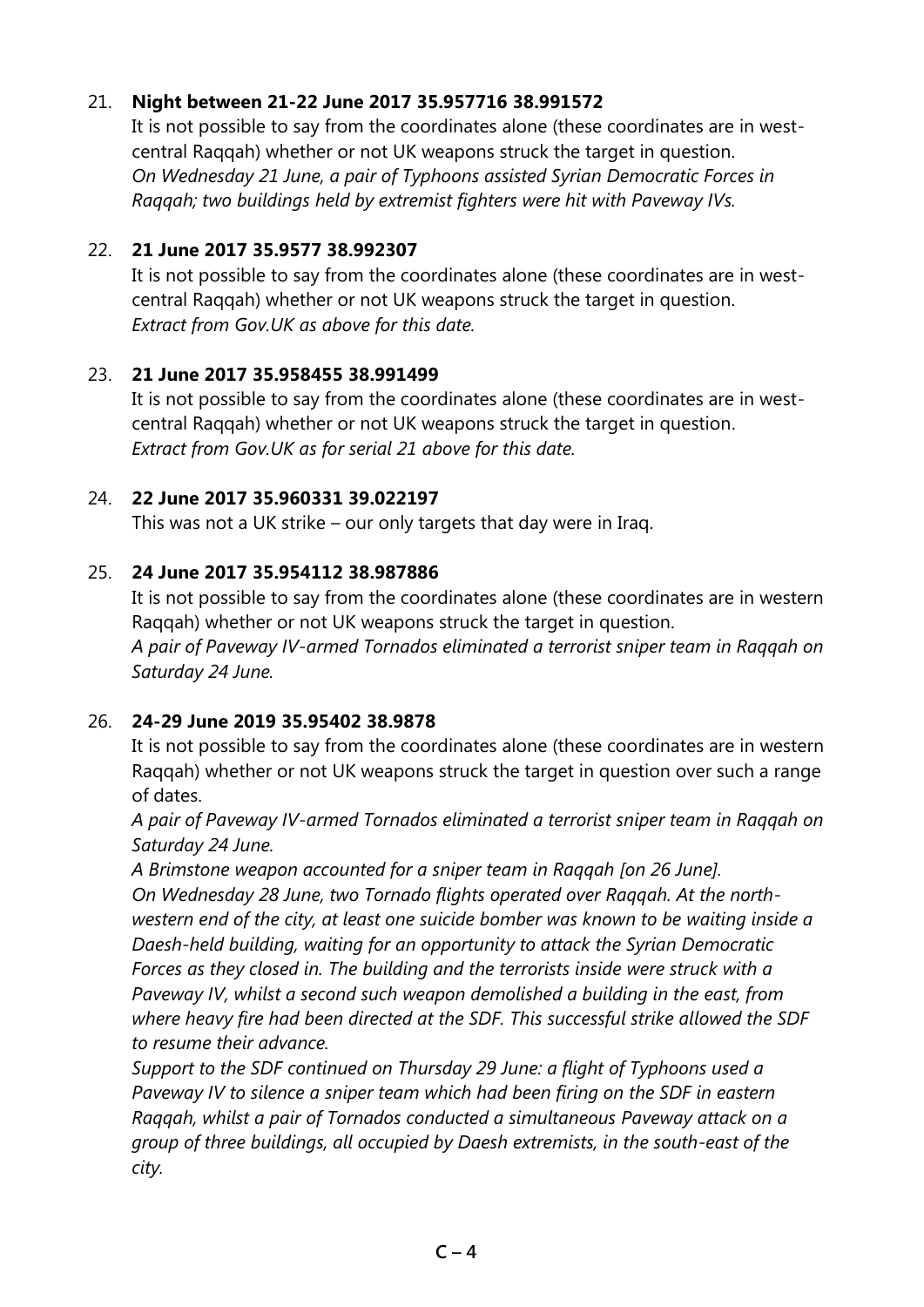## 21. **Night between 21-22 June 2017 35.957716 38.991572**

It is not possible to say from the coordinates alone (these coordinates are in westcentral Raqqah) whether or not UK weapons struck the target in question. *On Wednesday 21 June, a pair of Typhoons assisted Syrian Democratic Forces in Raqqah; two buildings held by extremist fighters were hit with Paveway IVs.*

## 22. **21 June 2017 35.9577 38.992307**

It is not possible to say from the coordinates alone (these coordinates are in westcentral Raqqah) whether or not UK weapons struck the target in question. *Extract from Gov.UK as above for this date.*

## 23. **21 June 2017 35.958455 38.991499**

It is not possible to say from the coordinates alone (these coordinates are in westcentral Raqqah) whether or not UK weapons struck the target in question. *Extract from Gov.UK as for serial 21 above for this date.*

# 24. **22 June 2017 35.960331 39.022197**

This was not a UK strike – our only targets that day were in Iraq.

# 25. **24 June 2017 35.954112 38.987886**

It is not possible to say from the coordinates alone (these coordinates are in western Raqqah) whether or not UK weapons struck the target in question. *A pair of Paveway IV-armed Tornados eliminated a terrorist sniper team in Raqqah on Saturday 24 June.*

# 26. **24-29 June 2019 35.95402 38.9878**

It is not possible to say from the coordinates alone (these coordinates are in western Raqqah) whether or not UK weapons struck the target in question over such a range of dates.

*A pair of Paveway IV-armed Tornados eliminated a terrorist sniper team in Raqqah on Saturday 24 June.*

*A Brimstone weapon accounted for a sniper team in Raqqah [on 26 June]. On Wednesday 28 June, two Tornado flights operated over Raqqah. At the northwestern end of the city, at least one suicide bomber was known to be waiting inside a Daesh-held building, waiting for an opportunity to attack the Syrian Democratic Forces as they closed in. The building and the terrorists inside were struck with a Paveway IV, whilst a second such weapon demolished a building in the east, from where heavy fire had been directed at the SDF. This successful strike allowed the SDF to resume their advance.*

*Support to the SDF continued on Thursday 29 June: a flight of Typhoons used a Paveway IV to silence a sniper team which had been firing on the SDF in eastern Raqqah, whilst a pair of Tornados conducted a simultaneous Paveway attack on a group of three buildings, all occupied by Daesh extremists, in the south-east of the city.*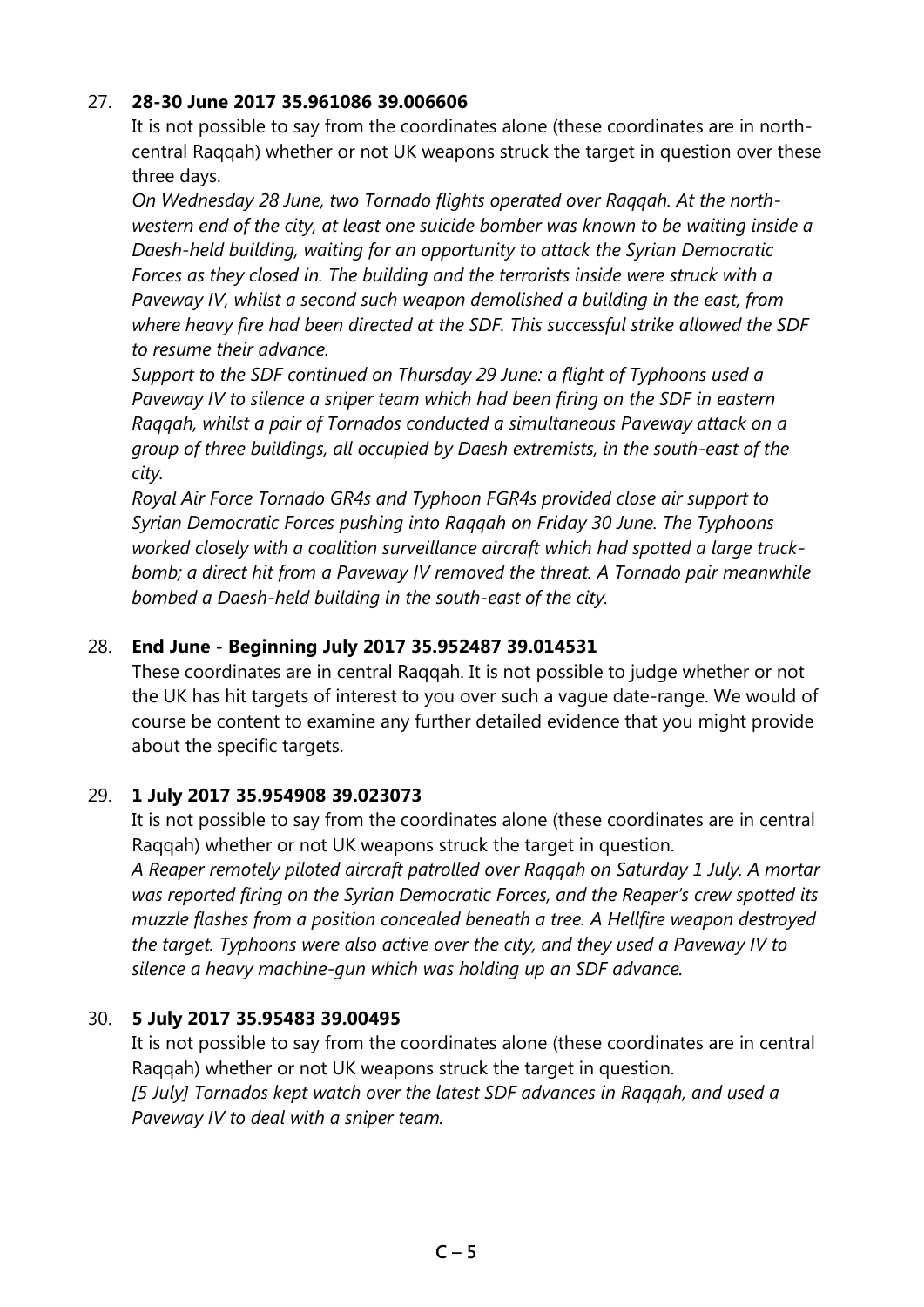## 27. **28-30 June 2017 35.961086 39.006606**

It is not possible to say from the coordinates alone (these coordinates are in northcentral Raqqah) whether or not UK weapons struck the target in question over these three days.

*On Wednesday 28 June, two Tornado flights operated over Raqqah. At the northwestern end of the city, at least one suicide bomber was known to be waiting inside a Daesh-held building, waiting for an opportunity to attack the Syrian Democratic Forces as they closed in. The building and the terrorists inside were struck with a Paveway IV, whilst a second such weapon demolished a building in the east, from where heavy fire had been directed at the SDF. This successful strike allowed the SDF to resume their advance.*

*Support to the SDF continued on Thursday 29 June: a flight of Typhoons used a Paveway IV to silence a sniper team which had been firing on the SDF in eastern Raqqah, whilst a pair of Tornados conducted a simultaneous Paveway attack on a group of three buildings, all occupied by Daesh extremists, in the south-east of the city.*

*Royal Air Force Tornado GR4s and Typhoon FGR4s provided close air support to Syrian Democratic Forces pushing into Raqqah on Friday 30 June. The Typhoons worked closely with a coalition surveillance aircraft which had spotted a large truckbomb; a direct hit from a Paveway IV removed the threat. A Tornado pair meanwhile bombed a Daesh-held building in the south-east of the city.* 

### 28. **End June - Beginning July 2017 35.952487 39.014531**

These coordinates are in central Raqqah. It is not possible to judge whether or not the UK has hit targets of interest to you over such a vague date-range. We would of course be content to examine any further detailed evidence that you might provide about the specific targets.

#### 29. **1 July 2017 35.954908 39.023073**

It is not possible to say from the coordinates alone (these coordinates are in central Raqqah) whether or not UK weapons struck the target in question.

*A Reaper remotely piloted aircraft patrolled over Raqqah on Saturday 1 July. A mortar was reported firing on the Syrian Democratic Forces, and the Reaper's crew spotted its muzzle flashes from a position concealed beneath a tree. A Hellfire weapon destroyed the target. Typhoons were also active over the city, and they used a Paveway IV to silence a heavy machine-gun which was holding up an SDF advance.*

#### 30. **5 July 2017 35.95483 39.00495**

It is not possible to say from the coordinates alone (these coordinates are in central Raqqah) whether or not UK weapons struck the target in question. *[5 July] Tornados kept watch over the latest SDF advances in Raqqah, and used a Paveway IV to deal with a sniper team.*